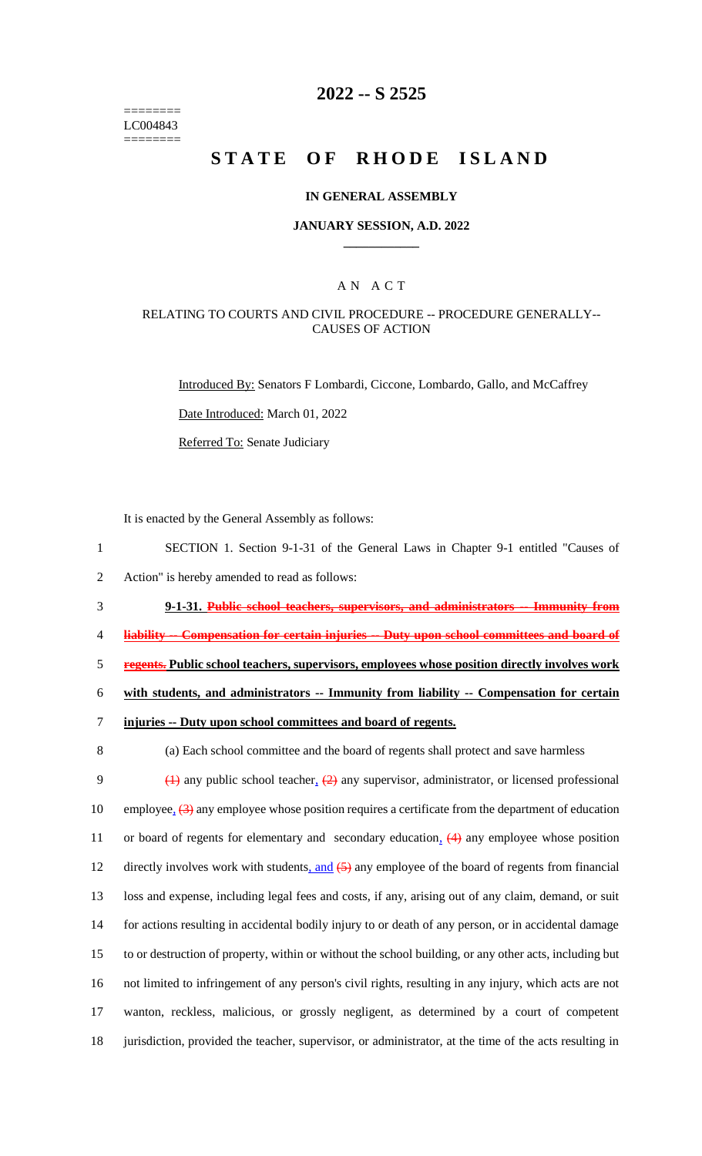======== LC004843 ========

### **2022 -- S 2525**

# **STATE OF RHODE ISLAND**

#### **IN GENERAL ASSEMBLY**

#### **JANUARY SESSION, A.D. 2022 \_\_\_\_\_\_\_\_\_\_\_\_**

### A N A C T

#### RELATING TO COURTS AND CIVIL PROCEDURE -- PROCEDURE GENERALLY-- CAUSES OF ACTION

Introduced By: Senators F Lombardi, Ciccone, Lombardo, Gallo, and McCaffrey

Date Introduced: March 01, 2022

Referred To: Senate Judiciary

It is enacted by the General Assembly as follows:

 SECTION 1. Section 9-1-31 of the General Laws in Chapter 9-1 entitled "Causes of Action" is hereby amended to read as follows: **9-1-31. Public school teachers, supervisors, and administrators -- Immunity from liability -- Compensation for certain injuries -- Duty upon school committees and board of regents. Public school teachers, supervisors, employees whose position directly involves work with students, and administrators -- Immunity from liability -- Compensation for certain injuries -- Duty upon school committees and board of regents.**

8 (a) Each school committee and the board of regents shall protect and save harmless

 $\left(1\right)$  any public school teacher,  $\left(2\right)$  any supervisor, administrator, or licensed professional 10 employee,  $(3)$  any employee whose position requires a certificate from the department of education 11 or board of regents for elementary and secondary education, (4) any employee whose position 12 directly involves work with students, and  $(5)$  any employee of the board of regents from financial loss and expense, including legal fees and costs, if any, arising out of any claim, demand, or suit for actions resulting in accidental bodily injury to or death of any person, or in accidental damage to or destruction of property, within or without the school building, or any other acts, including but not limited to infringement of any person's civil rights, resulting in any injury, which acts are not wanton, reckless, malicious, or grossly negligent, as determined by a court of competent jurisdiction, provided the teacher, supervisor, or administrator, at the time of the acts resulting in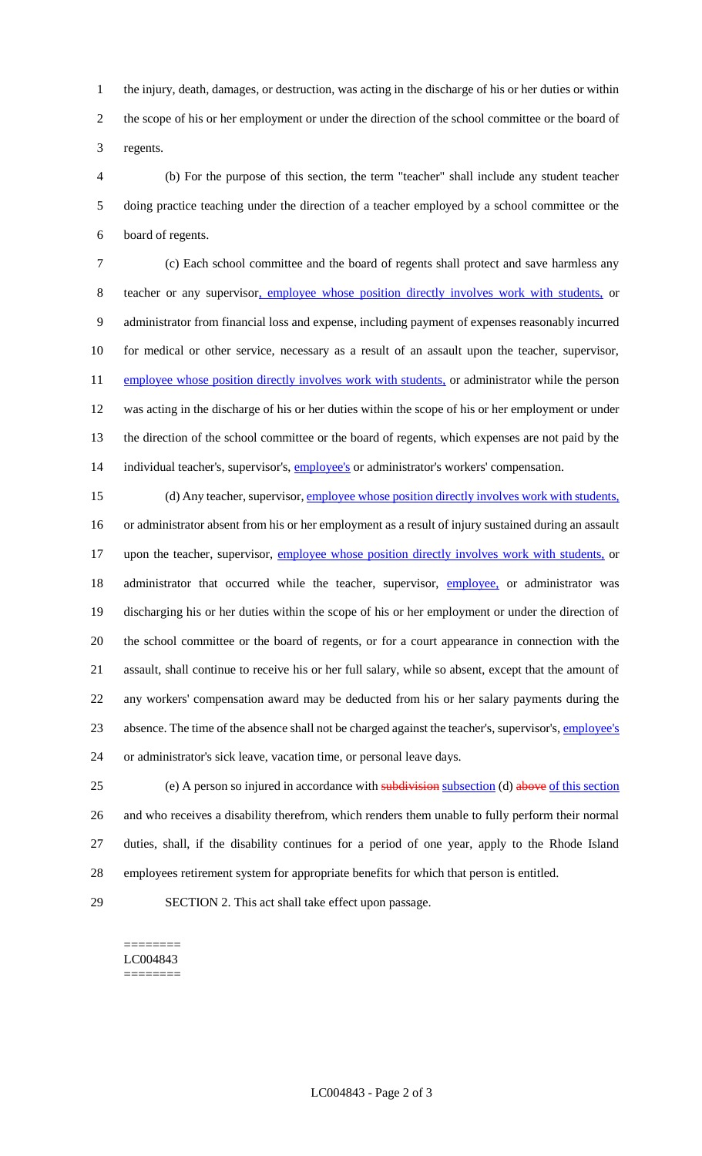the injury, death, damages, or destruction, was acting in the discharge of his or her duties or within the scope of his or her employment or under the direction of the school committee or the board of regents.

 (b) For the purpose of this section, the term "teacher" shall include any student teacher doing practice teaching under the direction of a teacher employed by a school committee or the board of regents.

 (c) Each school committee and the board of regents shall protect and save harmless any teacher or any supervisor, employee whose position directly involves work with students, or administrator from financial loss and expense, including payment of expenses reasonably incurred for medical or other service, necessary as a result of an assault upon the teacher, supervisor, 11 employee whose position directly involves work with students, or administrator while the person was acting in the discharge of his or her duties within the scope of his or her employment or under the direction of the school committee or the board of regents, which expenses are not paid by the 14 individual teacher's, supervisor's, *employee's* or administrator's workers' compensation.

15 (d) Any teacher, supervisor, employee whose position directly involves work with students, or administrator absent from his or her employment as a result of injury sustained during an assault 17 upon the teacher, supervisor, employee whose position directly involves work with students, or 18 administrator that occurred while the teacher, supervisor, *employee*, or administrator was discharging his or her duties within the scope of his or her employment or under the direction of the school committee or the board of regents, or for a court appearance in connection with the assault, shall continue to receive his or her full salary, while so absent, except that the amount of any workers' compensation award may be deducted from his or her salary payments during the absence. The time of the absence shall not be charged against the teacher's, supervisor's, employee's or administrator's sick leave, vacation time, or personal leave days.

25 (e) A person so injured in accordance with subdivision subsection (d) above of this section and who receives a disability therefrom, which renders them unable to fully perform their normal duties, shall, if the disability continues for a period of one year, apply to the Rhode Island employees retirement system for appropriate benefits for which that person is entitled.

SECTION 2. This act shall take effect upon passage.

======== LC004843 ========